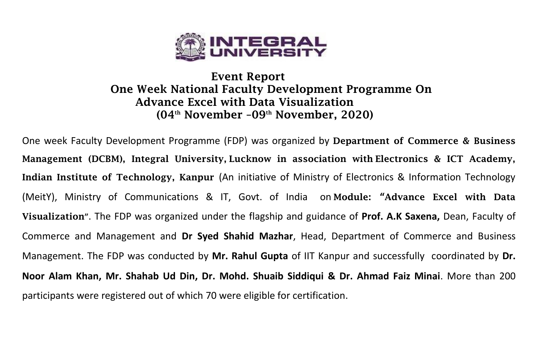

## **Event Report One Week National Faculty Development Programme On Advance Excel with Data Visualization (04th November –09th November, 2020)**

One week Faculty Development Programme (FDP) was organized by **Department of Commerce & Business Management (DCBM), Integral University, Lucknow in association with Electronics & ICT Academy, Indian Institute of Technology, Kanpur** (An initiative of Ministry of Electronics & Information Technology (MeitY), Ministry of Communications & IT, Govt. of India on **Module: "Advance Excel with Data Visualization"**. The FDP was organized under the flagship and guidance of **Prof. A.K Saxena,** Dean, Faculty of Commerce and Management and **Dr Syed Shahid Mazhar**, Head, Department of Commerce and Business Management. The FDP was conducted by **Mr. Rahul Gupta** of IIT Kanpur and successfully coordinated by **Dr. Noor Alam Khan, Mr. Shahab Ud Din, Dr. Mohd. Shuaib Siddiqui & Dr. Ahmad Faiz Minai**. More than 200 participants were registered out of which 70 were eligible for certification.